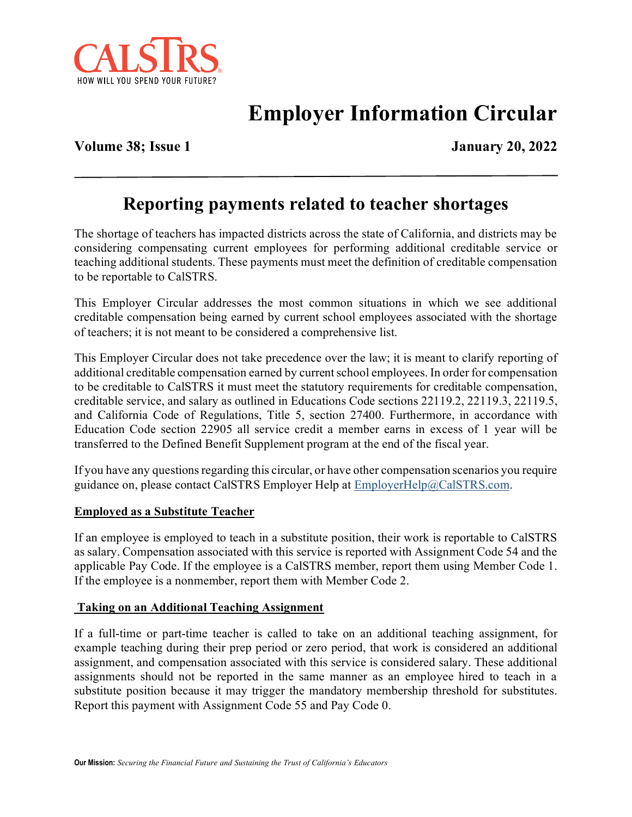

# **Employer Information Circular**

**Volume 38; Issue 1** January 20, 2022

# **Reporting payments related to teacher shortages**

The shortage of teachers has impacted districts across the state of California, and districts may be considering compensating current employees for performing additional creditable service or teaching additional students. These payments must meet the definition of creditable compensation to be reportable to CalSTRS.

This Employer Circular addresses the most common situations in which we see additional creditable compensation being earned by current school employees associated with the shortage of teachers; it is not meant to be considered a comprehensive list.

This Employer Circular does not take precedence over the law; it is meant to clarify reporting of additional creditable compensation earned by current school employees. In order for compensation to be creditable to CalSTRS it must meet the statutory requirements for creditable compensation, creditable service, and salary as outlined in Educations Code sections 22119.2, 22119.3, 22119.5, and California Code of Regulations, Title 5, section 27400. Furthermore, in accordance with Education Code section 22905 all service credit a member earns in excess of 1 year will be transferred to the Defined Benefit Supplement program at the end of the fiscal year.

If you have any questions regarding this circular, or have other compensation scenarios you require guidance on, please contact CalSTRS Employer Help at [EmployerHelp@CalSTRS.com.](mailto:EmployerHelp@CalSTRS.com)

#### **Employed as a Substitute Teacher**

If an employee is employed to teach in a substitute position, their work is reportable to CalSTRS as salary. Compensation associated with this service is reported with Assignment Code 54 and the applicable Pay Code. If the employee is a CalSTRS member, report them using Member Code 1. If the employee is a nonmember, report them with Member Code 2.

#### **Taking on an Additional Teaching Assignment**

If a full-time or part-time teacher is called to take on an additional teaching assignment, for example teaching during their prep period or zero period, that work is considered an additional assignment, and compensation associated with this service is considered salary. These additional assignments should not be reported in the same manner as an employee hired to teach in a substitute position because it may trigger the mandatory membership threshold for substitutes. Report this payment with Assignment Code 55 and Pay Code 0.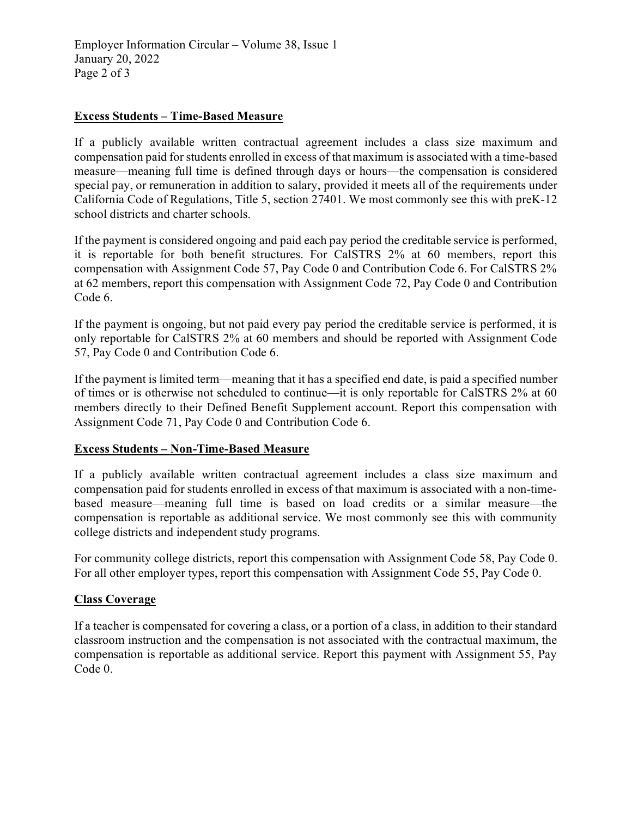## **Excess Students – Time-Based Measure**

If a publicly available written contractual agreement includes a class size maximum and compensation paid for students enrolled in excess of that maximum is associated with a time-based measure—meaning full time is defined through days or hours—the compensation is considered special pay, or remuneration in addition to salary, provided it meets all of the requirements under California Code of Regulations, Title 5, section 27401. We most commonly see this with preK-12 school districts and charter schools.

If the payment is considered ongoing and paid each pay period the creditable service is performed, it is reportable for both benefit structures. For CalSTRS 2% at 60 members, report this compensation with Assignment Code 57, Pay Code 0 and Contribution Code 6. For CalSTRS 2% at 62 members, report this compensation with Assignment Code 72, Pay Code 0 and Contribution Code 6.

If the payment is ongoing, but not paid every pay period the creditable service is performed, it is only reportable for CalSTRS 2% at 60 members and should be reported with Assignment Code 57, Pay Code 0 and Contribution Code 6.

If the payment is limited term—meaning that it has a specified end date, is paid a specified number of times or is otherwise not scheduled to continue—it is only reportable for CalSTRS 2% at 60 members directly to their Defined Benefit Supplement account. Report this compensation with Assignment Code 71, Pay Code 0 and Contribution Code 6.

#### **Excess Students – Non-Time-Based Measure**

If a publicly available written contractual agreement includes a class size maximum and compensation paid for students enrolled in excess of that maximum is associated with a non-timebased measure—meaning full time is based on load credits or a similar measure—the compensation is reportable as additional service. We most commonly see this with community college districts and independent study programs.

For community college districts, report this compensation with Assignment Code 58, Pay Code 0. For all other employer types, report this compensation with Assignment Code 55, Pay Code 0.

#### **Class Coverage**

If a teacher is compensated for covering a class, or a portion of a class, in addition to their standard classroom instruction and the compensation is not associated with the contractual maximum, the compensation is reportable as additional service. Report this payment with Assignment 55, Pay Code 0.